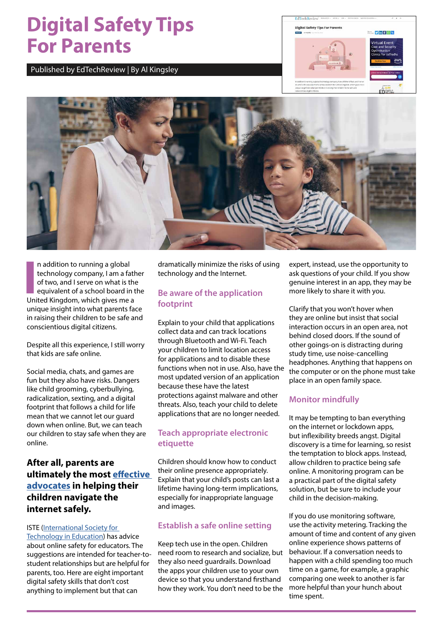# **Digital Safety Tips For Parents**

Published by EdTechReview | By Al Kingsley





**I** United Kingdom, which gives me a n addition to running a global technology company, I am a father of two, and I serve on what is the equivalent of a school board in the unique insight into what parents face in raising their children to be safe and conscientious digital citizens.

Despite all this experience, I still worry that kids are safe online.

Social media, chats, and games are fun but they also have risks. Dangers like child grooming, cyberbullying, radicalization, sexting, and a digital footprint that follows a child for life mean that we cannot let our guard down when online. But, we can teach our children to stay safe when they are online.

# **After all, parents are ultimately the most [effective](https://www.commonsensemedia.org/kids-action)  [advocates](https://www.commonsensemedia.org/kids-action) in helping their children navigate the internet safely.**

#### ISTE [\(International Society for](https://iste.org/)  [Technology in Education\)](https://iste.org/) has advice about online safety for educators. The suggestions are intended for teacher-tostudent relationships but are helpful for parents, too. Here are eight important digital safety skills that don't cost anything to implement but that can

dramatically minimize the risks of using technology and the Internet.

# **Be aware of the application footprint**

Explain to your child that applications collect data and can track locations through Bluetooth and Wi-Fi. Teach your children to limit location access for applications and to disable these functions when not in use. Also, have the most updated version of an application because these have the latest protections against malware and other threats. Also, teach your child to delete applications that are no longer needed.

# **Teach appropriate electronic etiquette**

Children should know how to conduct their online presence appropriately. Explain that your child's posts can last a lifetime having long-term implications, especially for inappropriate language and images.

# **Establish a safe online setting**

Keep tech use in the open. Children need room to research and socialize, but they also need guardrails. Download the apps your children use to your own device so that you understand firsthand how they work. You don't need to be the expert, instead, use the opportunity to ask questions of your child. If you show genuine interest in an app, they may be more likely to share it with you.

Clarify that you won't hover when they are online but insist that social interaction occurs in an open area, not behind closed doors. If the sound of other goings-on is distracting during study time, use noise-cancelling headphones. Anything that happens on the computer or on the phone must take place in an open family space.

# **Monitor mindfully**

It may be tempting to ban everything on the internet or lockdown apps, but inflexibility breeds angst. Digital discovery is a time for learning, so resist the temptation to block apps. Instead, allow children to practice being safe online. A monitoring program can be a practical part of the digital safety solution, but be sure to include your child in the decision-making.

If you do use monitoring software, use the activity metering. Tracking the amount of time and content of any given online experience shows patterns of behaviour. If a conversation needs to happen with a child spending too much time on a game, for example, a graphic comparing one week to another is far more helpful than your hunch about time spent.